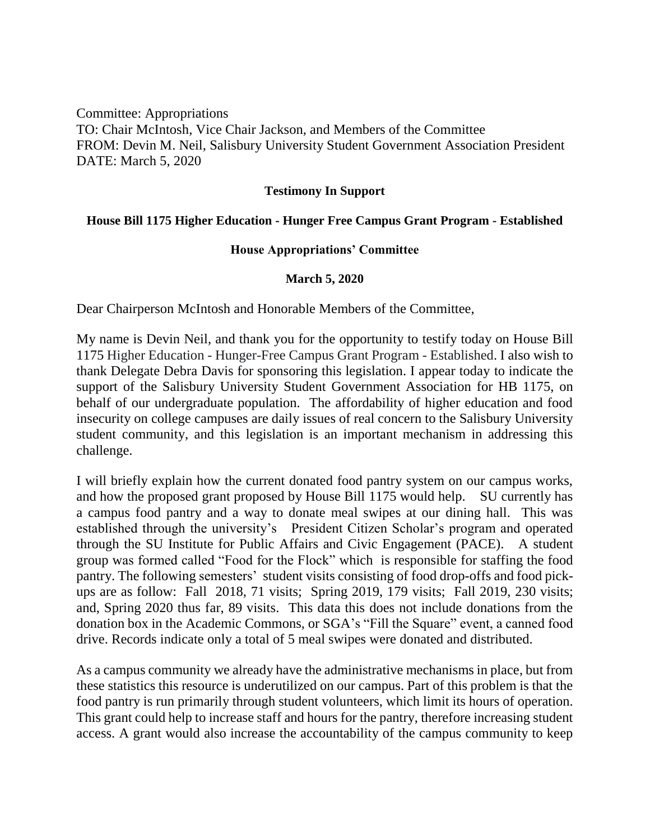Committee: Appropriations TO: Chair McIntosh, Vice Chair Jackson, and Members of the Committee FROM: Devin M. Neil, Salisbury University Student Government Association President DATE: March 5, 2020

## **Testimony In Support**

## **House Bill 1175 Higher Education - Hunger Free Campus Grant Program - Established**

## **House Appropriations' Committee**

## **March 5, 2020**

Dear Chairperson McIntosh and Honorable Members of the Committee,

My name is Devin Neil, and thank you for the opportunity to testify today on House Bill 1175 Higher Education - Hunger-Free Campus Grant Program - Established. I also wish to thank Delegate Debra Davis for sponsoring this legislation. I appear today to indicate the support of the Salisbury University Student Government Association for HB 1175, on behalf of our undergraduate population. The affordability of higher education and food insecurity on college campuses are daily issues of real concern to the Salisbury University student community, and this legislation is an important mechanism in addressing this challenge.

I will briefly explain how the current donated food pantry system on our campus works, and how the proposed grant proposed by House Bill 1175 would help. SU currently has a campus food pantry and a way to donate meal swipes at our dining hall. This was established through the university's President Citizen Scholar's program and operated through the SU Institute for Public Affairs and Civic Engagement (PACE). A student group was formed called "Food for the Flock" which is responsible for staffing the food pantry. The following semesters' student visits consisting of food drop-offs and food pickups are as follow: Fall 2018, 71 visits; Spring 2019, 179 visits; Fall 2019, 230 visits; and, Spring 2020 thus far, 89 visits. This data this does not include donations from the donation box in the Academic Commons, or SGA's "Fill the Square" event, a canned food drive. Records indicate only a total of 5 meal swipes were donated and distributed.

As a campus community we already have the administrative mechanisms in place, but from these statistics this resource is underutilized on our campus. Part of this problem is that the food pantry is run primarily through student volunteers, which limit its hours of operation. This grant could help to increase staff and hours for the pantry, therefore increasing student access. A grant would also increase the accountability of the campus community to keep